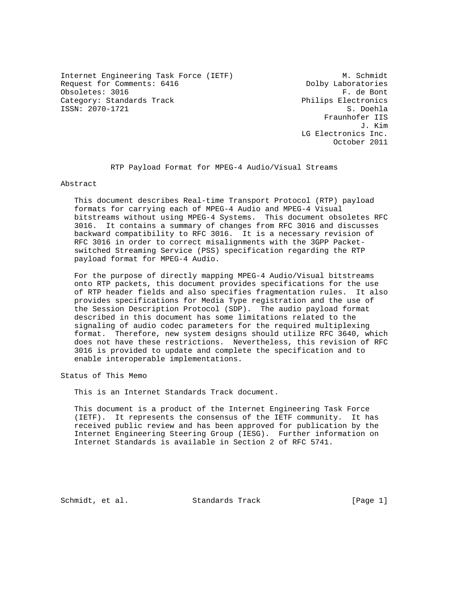Internet Engineering Task Force (IETF) M. Schmidt M. Schmidt<br>Request for Comments: 6416 1999 M. Dolby Laboratories Request for Comments: 6416 Dolby Laboratories<br>
Obsoletes: 3016 F. de Bont Obsoletes: 3016 Category: Standards Track Philips Electronics ISSN: 2070-1721 S. Doehla

 Fraunhofer IIS J. Kim LG Electronics Inc. October 2011

RTP Payload Format for MPEG-4 Audio/Visual Streams

Abstract

 This document describes Real-time Transport Protocol (RTP) payload formats for carrying each of MPEG-4 Audio and MPEG-4 Visual bitstreams without using MPEG-4 Systems. This document obsoletes RFC 3016. It contains a summary of changes from RFC 3016 and discusses backward compatibility to RFC 3016. It is a necessary revision of RFC 3016 in order to correct misalignments with the 3GPP Packet switched Streaming Service (PSS) specification regarding the RTP payload format for MPEG-4 Audio.

 For the purpose of directly mapping MPEG-4 Audio/Visual bitstreams onto RTP packets, this document provides specifications for the use of RTP header fields and also specifies fragmentation rules. It also provides specifications for Media Type registration and the use of the Session Description Protocol (SDP). The audio payload format described in this document has some limitations related to the signaling of audio codec parameters for the required multiplexing format. Therefore, new system designs should utilize RFC 3640, which does not have these restrictions. Nevertheless, this revision of RFC 3016 is provided to update and complete the specification and to enable interoperable implementations.

Status of This Memo

This is an Internet Standards Track document.

 This document is a product of the Internet Engineering Task Force (IETF). It represents the consensus of the IETF community. It has received public review and has been approved for publication by the Internet Engineering Steering Group (IESG). Further information on Internet Standards is available in Section 2 of RFC 5741.

Schmidt, et al. Standards Track [Page 1]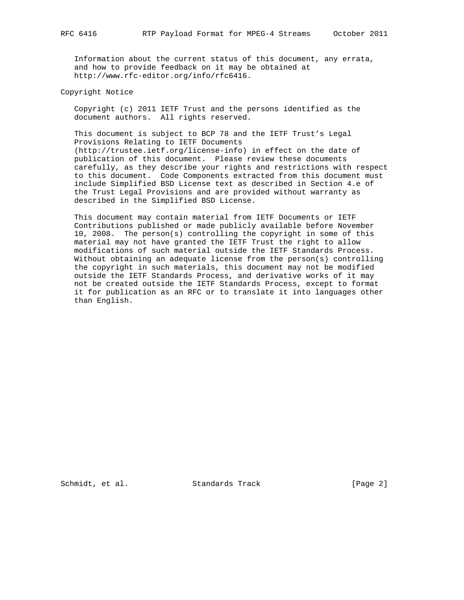Information about the current status of this document, any errata, and how to provide feedback on it may be obtained at http://www.rfc-editor.org/info/rfc6416.

Copyright Notice

 Copyright (c) 2011 IETF Trust and the persons identified as the document authors. All rights reserved.

 This document is subject to BCP 78 and the IETF Trust's Legal Provisions Relating to IETF Documents (http://trustee.ietf.org/license-info) in effect on the date of publication of this document. Please review these documents carefully, as they describe your rights and restrictions with respect to this document. Code Components extracted from this document must include Simplified BSD License text as described in Section 4.e of the Trust Legal Provisions and are provided without warranty as described in the Simplified BSD License.

 This document may contain material from IETF Documents or IETF Contributions published or made publicly available before November 10, 2008. The person(s) controlling the copyright in some of this material may not have granted the IETF Trust the right to allow modifications of such material outside the IETF Standards Process. Without obtaining an adequate license from the person(s) controlling the copyright in such materials, this document may not be modified outside the IETF Standards Process, and derivative works of it may not be created outside the IETF Standards Process, except to format it for publication as an RFC or to translate it into languages other than English.

Schmidt, et al. Standards Track [Page 2]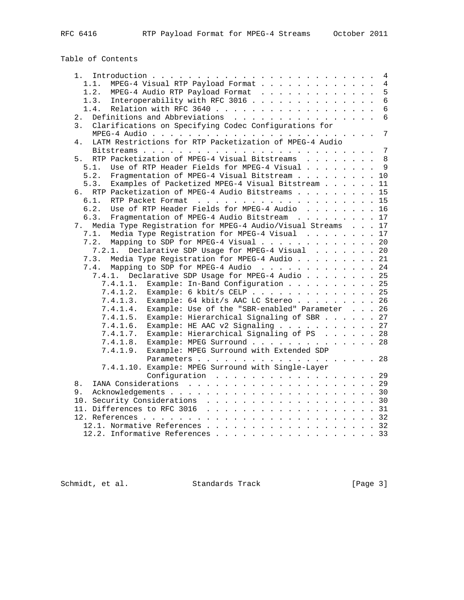# Table of Contents

| 1. .                                                                 |  | 4               |
|----------------------------------------------------------------------|--|-----------------|
| MPEG-4 Visual RTP Payload Format<br>1.1.                             |  | $\overline{4}$  |
| 1.2.<br>MPEG-4 Audio RTP Payload Format                              |  | 5               |
| Interoperability with RFC 3016<br>1.3.                               |  | $6\phantom{1}$  |
| 1.4.                                                                 |  | $6\phantom{1}$  |
| Definitions and Abbreviations<br>2.                                  |  | $6\overline{6}$ |
| Clarifications on Specifying Codec Configurations for<br>3.          |  |                 |
|                                                                      |  | $7\overline{ }$ |
| LATM Restrictions for RTP Packetization of MPEG-4 Audio<br>4.        |  |                 |
|                                                                      |  | $7\phantom{.0}$ |
| RTP Packetization of MPEG-4 Visual Bitstreams<br>5.                  |  | 8               |
| Use of RTP Header Fields for MPEG-4 Visual<br>5.1.                   |  | 9               |
| Fragmentation of MPEG-4 Visual Bitstream 10<br>5.2.                  |  |                 |
| 5.3.<br>Examples of Packetized MPEG-4 Visual Bitstream               |  | 11              |
| RTP Packetization of MPEG-4 Audio Bitstreams 15<br>რ.                |  |                 |
| 6.1.                                                                 |  |                 |
| RTP Packet Format 15<br>Use of RTP Header Fields for MPEG-4 Audio 16 |  |                 |
| 6.2.                                                                 |  |                 |
| Fragmentation of MPEG-4 Audio Bitstream 17<br>6.3.                   |  |                 |
| Media Type Registration for MPEG-4 Audio/Visual Streams 17<br>7.     |  |                 |
| Media Type Registration for MPEG-4 Visual 17<br>7.1.                 |  |                 |
| 7.2.<br>Mapping to SDP for MPEG-4 Visual 20                          |  |                 |
| Declarative SDP Usage for MPEG-4 Visual 20<br>7.2.1.                 |  |                 |
| Media Type Registration for MPEG-4 Audio 21<br>7.3.                  |  |                 |
| 7.4.<br>Mapping to SDP for MPEG-4 Audio 24                           |  |                 |
| 7.4.1. Declarative SDP Usage for MPEG-4 Audio 25                     |  |                 |
| Example: In-Band Configuration 25<br>7.4.1.1.                        |  |                 |
| Example: 6 kbit/s CELP 25<br>7.4.1.2.                                |  |                 |
| Example: 64 kbit/s AAC LC Stereo 26<br>7.4.1.3.                      |  |                 |
| 7.4.1.4.<br>Example: Use of the "SBR-enabled" Parameter 26           |  |                 |
| 7.4.1.5. Example: Hierarchical Signaling of SBR 27                   |  |                 |
| 7.4.1.6.<br>Example: HE AAC v2 Signaling 27                          |  |                 |
| Example: Hierarchical Signaling of PS 28<br>7.4.1.7.                 |  |                 |
| Example: MPEG Surround 28<br>7.4.1.8.                                |  |                 |
| 7.4.1.9.<br>Example: MPEG Surround with Extended SDP                 |  |                 |
|                                                                      |  |                 |
| 7.4.1.10. Example: MPEG Surround with Single-Layer                   |  |                 |
| Configuration 29                                                     |  |                 |
| 8.                                                                   |  |                 |
| 9.                                                                   |  |                 |
| 10. Security Considerations 30                                       |  |                 |
|                                                                      |  |                 |
|                                                                      |  |                 |
|                                                                      |  |                 |
| 12.1. Normative References 32                                        |  |                 |
| 12.2. Informative References 33                                      |  |                 |

Schmidt, et al. Standards Track [Page 3]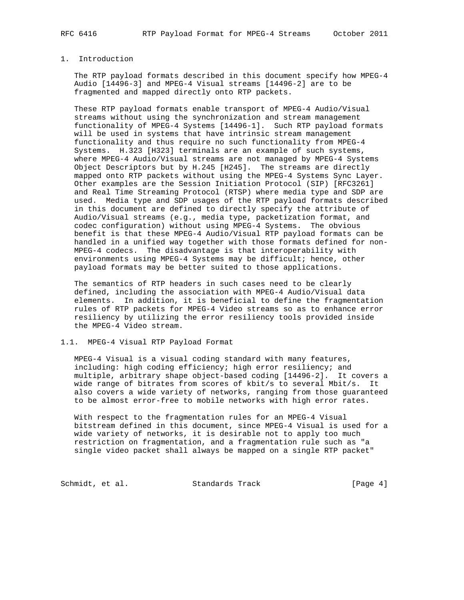# 1. Introduction

 The RTP payload formats described in this document specify how MPEG-4 Audio [14496-3] and MPEG-4 Visual streams [14496-2] are to be fragmented and mapped directly onto RTP packets.

 These RTP payload formats enable transport of MPEG-4 Audio/Visual streams without using the synchronization and stream management functionality of MPEG-4 Systems [14496-1]. Such RTP payload formats will be used in systems that have intrinsic stream management functionality and thus require no such functionality from MPEG-4 Systems. H.323 [H323] terminals are an example of such systems, where MPEG-4 Audio/Visual streams are not managed by MPEG-4 Systems Object Descriptors but by H.245 [H245]. The streams are directly mapped onto RTP packets without using the MPEG-4 Systems Sync Layer. Other examples are the Session Initiation Protocol (SIP) [RFC3261] and Real Time Streaming Protocol (RTSP) where media type and SDP are used. Media type and SDP usages of the RTP payload formats described in this document are defined to directly specify the attribute of Audio/Visual streams (e.g., media type, packetization format, and codec configuration) without using MPEG-4 Systems. The obvious benefit is that these MPEG-4 Audio/Visual RTP payload formats can be handled in a unified way together with those formats defined for non- MPEG-4 codecs. The disadvantage is that interoperability with environments using MPEG-4 Systems may be difficult; hence, other payload formats may be better suited to those applications.

 The semantics of RTP headers in such cases need to be clearly defined, including the association with MPEG-4 Audio/Visual data elements. In addition, it is beneficial to define the fragmentation rules of RTP packets for MPEG-4 Video streams so as to enhance error resiliency by utilizing the error resiliency tools provided inside the MPEG-4 Video stream.

#### 1.1. MPEG-4 Visual RTP Payload Format

 MPEG-4 Visual is a visual coding standard with many features, including: high coding efficiency; high error resiliency; and multiple, arbitrary shape object-based coding [14496-2]. It covers a wide range of bitrates from scores of kbit/s to several Mbit/s. It also covers a wide variety of networks, ranging from those guaranteed to be almost error-free to mobile networks with high error rates.

 With respect to the fragmentation rules for an MPEG-4 Visual bitstream defined in this document, since MPEG-4 Visual is used for a wide variety of networks, it is desirable not to apply too much restriction on fragmentation, and a fragmentation rule such as "a single video packet shall always be mapped on a single RTP packet"

Schmidt, et al. Standards Track [Page 4]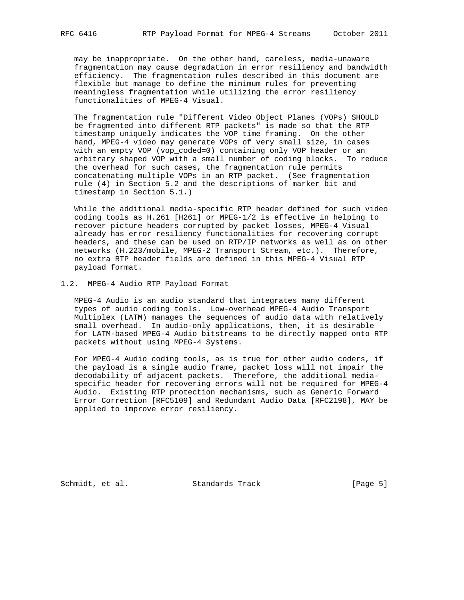may be inappropriate. On the other hand, careless, media-unaware fragmentation may cause degradation in error resiliency and bandwidth efficiency. The fragmentation rules described in this document are flexible but manage to define the minimum rules for preventing meaningless fragmentation while utilizing the error resiliency functionalities of MPEG-4 Visual.

 The fragmentation rule "Different Video Object Planes (VOPs) SHOULD be fragmented into different RTP packets" is made so that the RTP timestamp uniquely indicates the VOP time framing. On the other hand, MPEG-4 video may generate VOPs of very small size, in cases with an empty VOP (vop\_coded=0) containing only VOP header or an arbitrary shaped VOP with a small number of coding blocks. To reduce the overhead for such cases, the fragmentation rule permits concatenating multiple VOPs in an RTP packet. (See fragmentation rule (4) in Section 5.2 and the descriptions of marker bit and timestamp in Section 5.1.)

 While the additional media-specific RTP header defined for such video coding tools as H.261 [H261] or MPEG-1/2 is effective in helping to recover picture headers corrupted by packet losses, MPEG-4 Visual already has error resiliency functionalities for recovering corrupt headers, and these can be used on RTP/IP networks as well as on other networks (H.223/mobile, MPEG-2 Transport Stream, etc.). Therefore, no extra RTP header fields are defined in this MPEG-4 Visual RTP payload format.

#### 1.2. MPEG-4 Audio RTP Payload Format

 MPEG-4 Audio is an audio standard that integrates many different types of audio coding tools. Low-overhead MPEG-4 Audio Transport Multiplex (LATM) manages the sequences of audio data with relatively small overhead. In audio-only applications, then, it is desirable for LATM-based MPEG-4 Audio bitstreams to be directly mapped onto RTP packets without using MPEG-4 Systems.

 For MPEG-4 Audio coding tools, as is true for other audio coders, if the payload is a single audio frame, packet loss will not impair the decodability of adjacent packets. Therefore, the additional media specific header for recovering errors will not be required for MPEG-4 Audio. Existing RTP protection mechanisms, such as Generic Forward Error Correction [RFC5109] and Redundant Audio Data [RFC2198], MAY be applied to improve error resiliency.

Schmidt, et al. Standards Track [Page 5]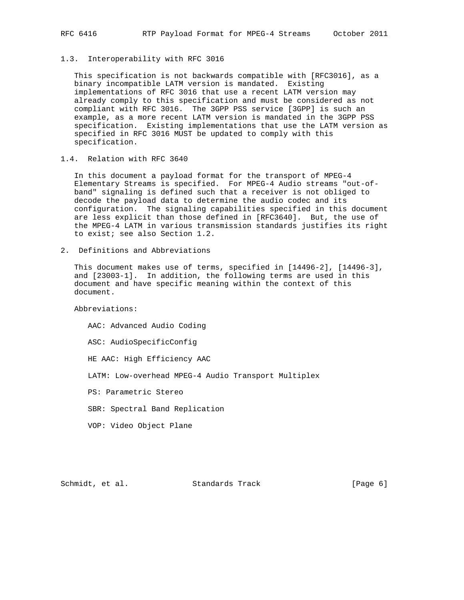1.3. Interoperability with RFC 3016

 This specification is not backwards compatible with [RFC3016], as a binary incompatible LATM version is mandated. Existing implementations of RFC 3016 that use a recent LATM version may already comply to this specification and must be considered as not compliant with RFC 3016. The 3GPP PSS service [3GPP] is such an example, as a more recent LATM version is mandated in the 3GPP PSS specification. Existing implementations that use the LATM version as specified in RFC 3016 MUST be updated to comply with this specification.

## 1.4. Relation with RFC 3640

 In this document a payload format for the transport of MPEG-4 Elementary Streams is specified. For MPEG-4 Audio streams "out-of band" signaling is defined such that a receiver is not obliged to decode the payload data to determine the audio codec and its configuration. The signaling capabilities specified in this document are less explicit than those defined in [RFC3640]. But, the use of the MPEG-4 LATM in various transmission standards justifies its right to exist; see also Section 1.2.

2. Definitions and Abbreviations

 This document makes use of terms, specified in [14496-2], [14496-3], and [23003-1]. In addition, the following terms are used in this document and have specific meaning within the context of this document.

Abbreviations:

 AAC: Advanced Audio Coding ASC: AudioSpecificConfig HE AAC: High Efficiency AAC LATM: Low-overhead MPEG-4 Audio Transport Multiplex PS: Parametric Stereo SBR: Spectral Band Replication VOP: Video Object Plane

Schmidt, et al. Standards Track [Page 6]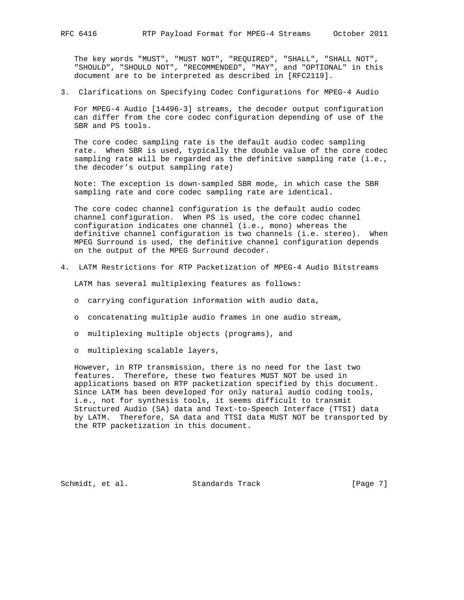The key words "MUST", "MUST NOT", "REQUIRED", "SHALL", "SHALL NOT", "SHOULD", "SHOULD NOT", "RECOMMENDED", "MAY", and "OPTIONAL" in this document are to be interpreted as described in [RFC2119].

3. Clarifications on Specifying Codec Configurations for MPEG-4 Audio

 For MPEG-4 Audio [14496-3] streams, the decoder output configuration can differ from the core codec configuration depending of use of the SBR and PS tools.

 The core codec sampling rate is the default audio codec sampling rate. When SBR is used, typically the double value of the core codec sampling rate will be regarded as the definitive sampling rate (i.e., the decoder's output sampling rate)

 Note: The exception is down-sampled SBR mode, in which case the SBR sampling rate and core codec sampling rate are identical.

 The core codec channel configuration is the default audio codec channel configuration. When PS is used, the core codec channel configuration indicates one channel (i.e., mono) whereas the definitive channel configuration is two channels (i.e. stereo). When MPEG Surround is used, the definitive channel configuration depends on the output of the MPEG Surround decoder.

4. LATM Restrictions for RTP Packetization of MPEG-4 Audio Bitstreams

LATM has several multiplexing features as follows:

- o carrying configuration information with audio data,
- o concatenating multiple audio frames in one audio stream,
- o multiplexing multiple objects (programs), and
- o multiplexing scalable layers,

 However, in RTP transmission, there is no need for the last two features. Therefore, these two features MUST NOT be used in applications based on RTP packetization specified by this document. Since LATM has been developed for only natural audio coding tools, i.e., not for synthesis tools, it seems difficult to transmit Structured Audio (SA) data and Text-to-Speech Interface (TTSI) data by LATM. Therefore, SA data and TTSI data MUST NOT be transported by the RTP packetization in this document.

Schmidt, et al. Standards Track [Page 7]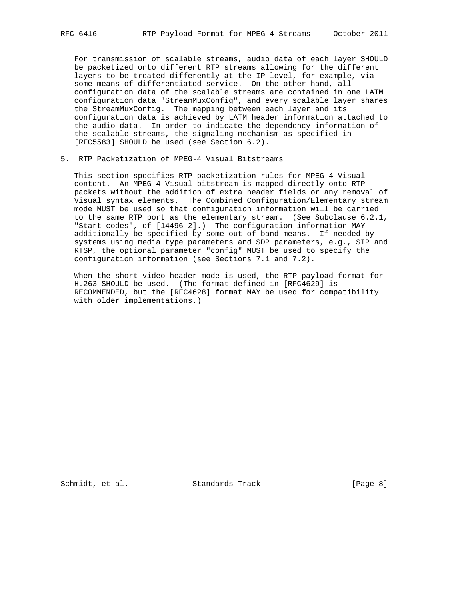For transmission of scalable streams, audio data of each layer SHOULD be packetized onto different RTP streams allowing for the different layers to be treated differently at the IP level, for example, via some means of differentiated service. On the other hand, all configuration data of the scalable streams are contained in one LATM configuration data "StreamMuxConfig", and every scalable layer shares the StreamMuxConfig. The mapping between each layer and its configuration data is achieved by LATM header information attached to the audio data. In order to indicate the dependency information of the scalable streams, the signaling mechanism as specified in [RFC5583] SHOULD be used (see Section 6.2).

5. RTP Packetization of MPEG-4 Visual Bitstreams

 This section specifies RTP packetization rules for MPEG-4 Visual content. An MPEG-4 Visual bitstream is mapped directly onto RTP packets without the addition of extra header fields or any removal of Visual syntax elements. The Combined Configuration/Elementary stream mode MUST be used so that configuration information will be carried to the same RTP port as the elementary stream. (See Subclause 6.2.1, "Start codes", of [14496-2].) The configuration information MAY additionally be specified by some out-of-band means. If needed by systems using media type parameters and SDP parameters, e.g., SIP and RTSP, the optional parameter "config" MUST be used to specify the configuration information (see Sections 7.1 and 7.2).

 When the short video header mode is used, the RTP payload format for H.263 SHOULD be used. (The format defined in [RFC4629] is RECOMMENDED, but the [RFC4628] format MAY be used for compatibility with older implementations.)

Schmidt, et al. Standards Track [Page 8]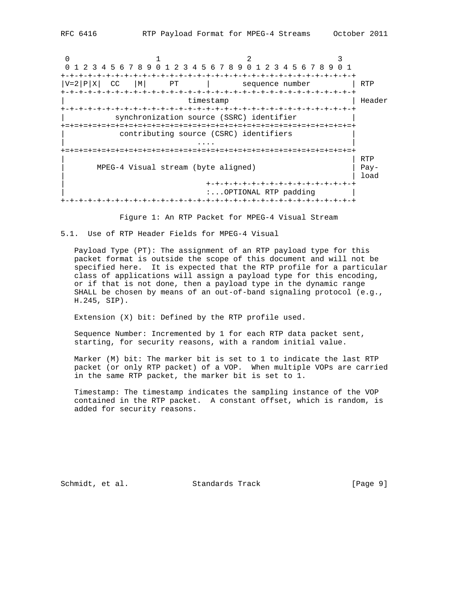0  $1$  2 3 0 1 2 3 4 5 6 7 8 9 0 1 2 3 4 5 6 7 8 9 0 1 2 3 4 5 6 7 8 9 0 1 +-+-+-+-+-+-+-+-+-+-+-+-+-+-+-+-+-+-+-+-+-+-+-+-+-+-+-+-+-+-+-+-+  $|V=2|P|X|$  CC  $|M|$  PT  $|$  sequence number  $|$  RTP +-+-+-+-+-+-+-+-+-+-+-+-+-+-+-+-+-+-+-+-+-+-+-+-+-+-+-+-+-+-+-+-+ | timestamp | Header +-+-+-+-+-+-+-+-+-+-+-+-+-+-+-+-+-+-+-+-+-+-+-+-+-+-+-+-+-+-+-+-+ synchronization source (SSRC) identifier +=+=+=+=+=+=+=+=+=+=+=+=+=+=+=+=+=+=+=+=+=+=+=+=+=+=+=+=+=+=+=+=+ contributing source (CSRC) identifiers | .... | ... | ... | ... | ... | ... | ... | ... | ... | ... | ... | ... | ... | ... | ... | ... | ... | ... | +=+=+=+=+=+=+=+=+=+=+=+=+=+=+=+=+=+=+=+=+=+=+=+=+=+=+=+=+=+=+=+=+ | | RTP | MPEG-4 Visual stream (byte aligned) | Pay- | | load | +-+-+-+-+-+-+-+-+-+-+-+-+-+-+-+-+ :...OPTIONAL RTP padding | +-+-+-+-+-+-+-+-+-+-+-+-+-+-+-+-+-+-+-+-+-+-+-+-+-+-+-+-+-+-+-+-+

Figure 1: An RTP Packet for MPEG-4 Visual Stream

5.1. Use of RTP Header Fields for MPEG-4 Visual

 Payload Type (PT): The assignment of an RTP payload type for this packet format is outside the scope of this document and will not be specified here. It is expected that the RTP profile for a particular class of applications will assign a payload type for this encoding, or if that is not done, then a payload type in the dynamic range SHALL be chosen by means of an out-of-band signaling protocol (e.g., H.245, SIP).

Extension (X) bit: Defined by the RTP profile used.

 Sequence Number: Incremented by 1 for each RTP data packet sent, starting, for security reasons, with a random initial value.

 Marker (M) bit: The marker bit is set to 1 to indicate the last RTP packet (or only RTP packet) of a VOP. When multiple VOPs are carried in the same RTP packet, the marker bit is set to 1.

 Timestamp: The timestamp indicates the sampling instance of the VOP contained in the RTP packet. A constant offset, which is random, is added for security reasons.

Schmidt, et al. Standards Track [Page 9]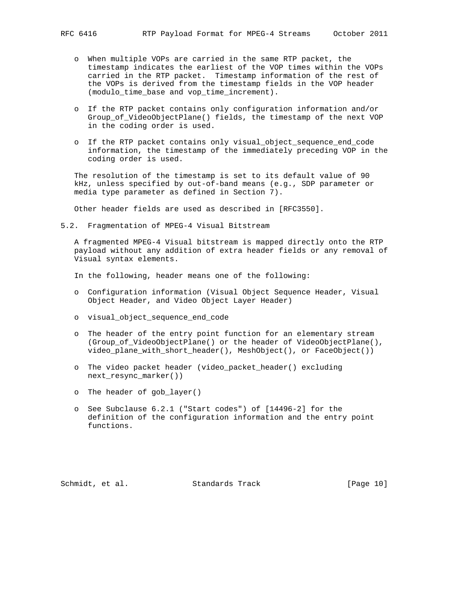- o When multiple VOPs are carried in the same RTP packet, the timestamp indicates the earliest of the VOP times within the VOPs carried in the RTP packet. Timestamp information of the rest of the VOPs is derived from the timestamp fields in the VOP header (modulo\_time\_base and vop\_time\_increment).
- o If the RTP packet contains only configuration information and/or Group\_of\_VideoObjectPlane() fields, the timestamp of the next VOP in the coding order is used.
- o If the RTP packet contains only visual\_object\_sequence\_end\_code information, the timestamp of the immediately preceding VOP in the coding order is used.

 The resolution of the timestamp is set to its default value of 90 kHz, unless specified by out-of-band means (e.g., SDP parameter or media type parameter as defined in Section 7).

Other header fields are used as described in [RFC3550].

5.2. Fragmentation of MPEG-4 Visual Bitstream

 A fragmented MPEG-4 Visual bitstream is mapped directly onto the RTP payload without any addition of extra header fields or any removal of Visual syntax elements.

In the following, header means one of the following:

- o Configuration information (Visual Object Sequence Header, Visual Object Header, and Video Object Layer Header)
- o visual\_object\_sequence\_end\_code
- o The header of the entry point function for an elementary stream (Group\_of\_VideoObjectPlane() or the header of VideoObjectPlane(), video\_plane\_with\_short\_header(), MeshObject(), or FaceObject())
- o The video packet header (video\_packet\_header() excluding next\_resync\_marker())
- o The header of gob\_layer()
- o See Subclause 6.2.1 ("Start codes") of [14496-2] for the definition of the configuration information and the entry point functions.

Schmidt, et al. Standards Track [Page 10]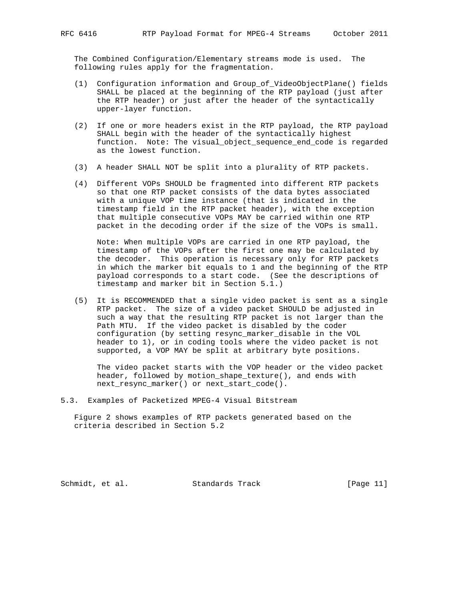The Combined Configuration/Elementary streams mode is used. The following rules apply for the fragmentation.

- (1) Configuration information and Group\_of\_VideoObjectPlane() fields SHALL be placed at the beginning of the RTP payload (just after the RTP header) or just after the header of the syntactically upper-layer function.
- (2) If one or more headers exist in the RTP payload, the RTP payload SHALL begin with the header of the syntactically highest function. Note: The visual\_object\_sequence\_end\_code is regarded as the lowest function.
- (3) A header SHALL NOT be split into a plurality of RTP packets.
- (4) Different VOPs SHOULD be fragmented into different RTP packets so that one RTP packet consists of the data bytes associated with a unique VOP time instance (that is indicated in the timestamp field in the RTP packet header), with the exception that multiple consecutive VOPs MAY be carried within one RTP packet in the decoding order if the size of the VOPs is small.

 Note: When multiple VOPs are carried in one RTP payload, the timestamp of the VOPs after the first one may be calculated by the decoder. This operation is necessary only for RTP packets in which the marker bit equals to 1 and the beginning of the RTP payload corresponds to a start code. (See the descriptions of timestamp and marker bit in Section 5.1.)

 (5) It is RECOMMENDED that a single video packet is sent as a single RTP packet. The size of a video packet SHOULD be adjusted in such a way that the resulting RTP packet is not larger than the Path MTU. If the video packet is disabled by the coder configuration (by setting resync\_marker\_disable in the VOL header to 1), or in coding tools where the video packet is not supported, a VOP MAY be split at arbitrary byte positions.

 The video packet starts with the VOP header or the video packet header, followed by motion\_shape\_texture(), and ends with next\_resync\_marker() or next\_start\_code().

5.3. Examples of Packetized MPEG-4 Visual Bitstream

 Figure 2 shows examples of RTP packets generated based on the criteria described in Section 5.2

Schmidt, et al. Standards Track [Page 11]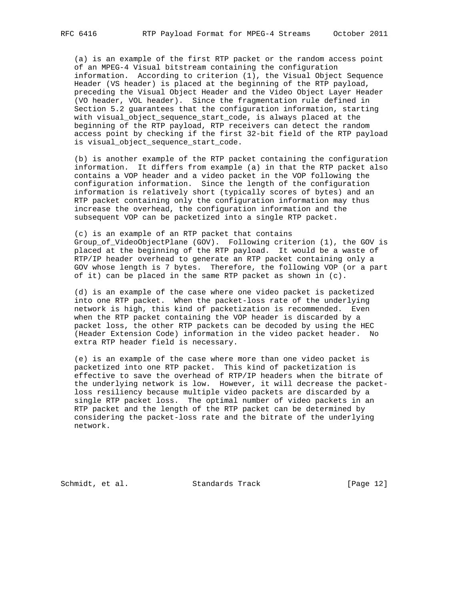(a) is an example of the first RTP packet or the random access point of an MPEG-4 Visual bitstream containing the configuration information. According to criterion (1), the Visual Object Sequence Header (VS header) is placed at the beginning of the RTP payload, preceding the Visual Object Header and the Video Object Layer Header (VO header, VOL header). Since the fragmentation rule defined in Section 5.2 guarantees that the configuration information, starting with visual\_object\_sequence\_start\_code, is always placed at the beginning of the RTP payload, RTP receivers can detect the random access point by checking if the first 32-bit field of the RTP payload is visual\_object\_sequence\_start\_code.

 (b) is another example of the RTP packet containing the configuration information. It differs from example (a) in that the RTP packet also contains a VOP header and a video packet in the VOP following the configuration information. Since the length of the configuration information is relatively short (typically scores of bytes) and an RTP packet containing only the configuration information may thus increase the overhead, the configuration information and the subsequent VOP can be packetized into a single RTP packet.

 (c) is an example of an RTP packet that contains Group\_of\_VideoObjectPlane (GOV). Following criterion (1), the GOV is placed at the beginning of the RTP payload. It would be a waste of RTP/IP header overhead to generate an RTP packet containing only a GOV whose length is 7 bytes. Therefore, the following VOP (or a part of it) can be placed in the same RTP packet as shown in (c).

 (d) is an example of the case where one video packet is packetized into one RTP packet. When the packet-loss rate of the underlying network is high, this kind of packetization is recommended. Even when the RTP packet containing the VOP header is discarded by a packet loss, the other RTP packets can be decoded by using the HEC (Header Extension Code) information in the video packet header. No extra RTP header field is necessary.

 (e) is an example of the case where more than one video packet is packetized into one RTP packet. This kind of packetization is effective to save the overhead of RTP/IP headers when the bitrate of the underlying network is low. However, it will decrease the packet loss resiliency because multiple video packets are discarded by a single RTP packet loss. The optimal number of video packets in an RTP packet and the length of the RTP packet can be determined by considering the packet-loss rate and the bitrate of the underlying network.

Schmidt, et al. Standards Track [Page 12]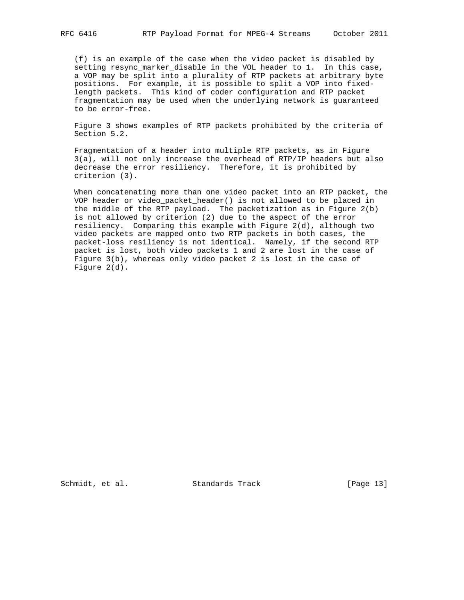(f) is an example of the case when the video packet is disabled by setting resync\_marker\_disable in the VOL header to 1. In this case, a VOP may be split into a plurality of RTP packets at arbitrary byte positions. For example, it is possible to split a VOP into fixed length packets. This kind of coder configuration and RTP packet fragmentation may be used when the underlying network is guaranteed to be error-free.

 Figure 3 shows examples of RTP packets prohibited by the criteria of Section 5.2.

 Fragmentation of a header into multiple RTP packets, as in Figure 3(a), will not only increase the overhead of RTP/IP headers but also decrease the error resiliency. Therefore, it is prohibited by criterion (3).

 When concatenating more than one video packet into an RTP packet, the VOP header or video\_packet\_header() is not allowed to be placed in the middle of the RTP payload. The packetization as in Figure 2(b) is not allowed by criterion (2) due to the aspect of the error resiliency. Comparing this example with Figure 2(d), although two video packets are mapped onto two RTP packets in both cases, the packet-loss resiliency is not identical. Namely, if the second RTP packet is lost, both video packets 1 and 2 are lost in the case of Figure 3(b), whereas only video packet 2 is lost in the case of Figure 2(d).

Schmidt, et al. Standards Track [Page 13]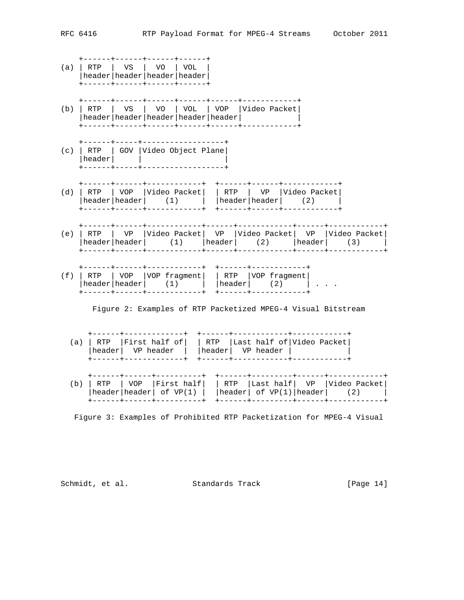|     | (a)   RTP | VS   VO   VOL<br>header   header   header   header  <br>-----+------+-----+-----+                                                                                              |                           |  |                 |                            |                                                                                                             |  |  |
|-----|-----------|--------------------------------------------------------------------------------------------------------------------------------------------------------------------------------|---------------------------|--|-----------------|----------------------------|-------------------------------------------------------------------------------------------------------------|--|--|
| (b) | RTP       | VS   VO   VOL   VOP  Video Packet <br>header   header   header   header   header                                                                                               | -----+------+-----+       |  |                 | ------+-----------+        |                                                                                                             |  |  |
|     | header    | ------+------+------+------+------+----+-<br>------+-----+-------------------<br>(c)   RTP   GOV   Video Object Plane                                                          | -----+------------------+ |  |                 |                            |                                                                                                             |  |  |
|     | $(d)$ RTP | ------+------+------------+<br>  VOP   Video Packet    RTP   VP   Video Packet <br>$ \text{header} $ header $ $ (1) $ \text{header} $ header (2)<br>-----+------+------------+ |                           |  |                 | +------+------+            | +------+------+------------+                                                                                |  |  |
| (e) |           | RTP   VP   Video Packet   VP   Video Packet   VP   Video Packet  <br>header   header   $(1)$   header   $(2)$   header   $(3)$                                                 |                           |  |                 |                            |                                                                                                             |  |  |
|     |           | (f)   RTP   VOP   VOP fragment     RTP   VOP fragment  <br>header $ \text{header} $ (1) $ \text{header} $ (2) $ \cdot $<br>-----+------+----                                   |                           |  | $+ - - - - - +$ |                            |                                                                                                             |  |  |
|     |           | Figure 2: Examples of RTP Packetized MPEG-4 Visual Bitstream                                                                                                                   |                           |  |                 |                            |                                                                                                             |  |  |
|     |           | (a) $ $ RTP $ $ First half of $ $ $ $ RTP $ $ Last half of $ $ Video Packet $ $<br> header  VP header    header  VP header  <br>------+-------------+                          |                           |  |                 | +------+------------+----- |                                                                                                             |  |  |
| (b) | RTP       | +------+------+----------+<br>l VOP<br>$\text{header} \text{header} $ of VP(1)                                                                                                 |                           |  |                 |                            | --------+-----+-<br> First half    RTP   Last half  VP   Video Packet <br>$ header $ of $VP(1) header $ (2) |  |  |

Figure 3: Examples of Prohibited RTP Packetization for MPEG-4 Visual

+------+------+----------+ +------+---------+------+------------+

Schmidt, et al. Standards Track [Page 14]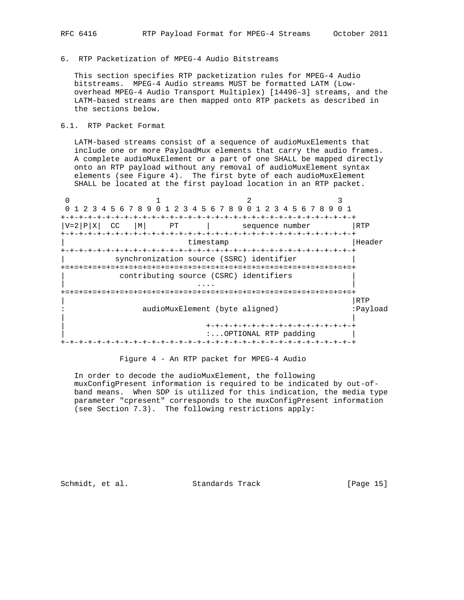6. RTP Packetization of MPEG-4 Audio Bitstreams

 This section specifies RTP packetization rules for MPEG-4 Audio bitstreams. MPEG-4 Audio streams MUST be formatted LATM (Low overhead MPEG-4 Audio Transport Multiplex) [14496-3] streams, and the LATM-based streams are then mapped onto RTP packets as described in the sections below.

# 6.1. RTP Packet Format

 LATM-based streams consist of a sequence of audioMuxElements that include one or more PayloadMux elements that carry the audio frames. A complete audioMuxElement or a part of one SHALL be mapped directly onto an RTP payload without any removal of audioMuxElement syntax elements (see Figure 4). The first byte of each audioMuxElement SHALL be located at the first payload location in an RTP packet.



Figure 4 - An RTP packet for MPEG-4 Audio

 In order to decode the audioMuxElement, the following muxConfigPresent information is required to be indicated by out-of band means. When SDP is utilized for this indication, the media type parameter "cpresent" corresponds to the muxConfigPresent information (see Section 7.3). The following restrictions apply:

Schmidt, et al. Standards Track [Page 15]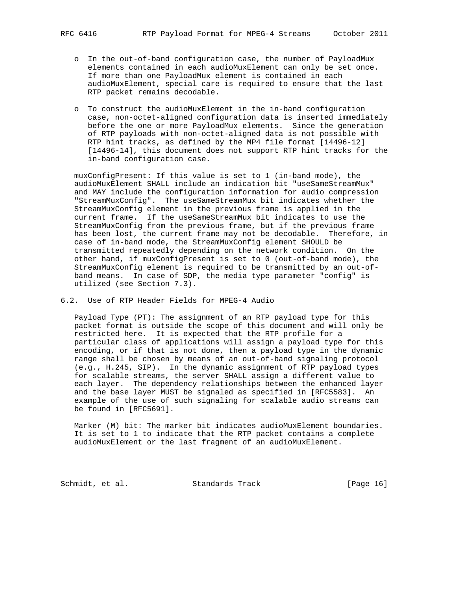- - o In the out-of-band configuration case, the number of PayloadMux elements contained in each audioMuxElement can only be set once. If more than one PayloadMux element is contained in each audioMuxElement, special care is required to ensure that the last RTP packet remains decodable.
	- o To construct the audioMuxElement in the in-band configuration case, non-octet-aligned configuration data is inserted immediately before the one or more PayloadMux elements. Since the generation of RTP payloads with non-octet-aligned data is not possible with RTP hint tracks, as defined by the MP4 file format [14496-12] [14496-14], this document does not support RTP hint tracks for the in-band configuration case.

 muxConfigPresent: If this value is set to 1 (in-band mode), the audioMuxElement SHALL include an indication bit "useSameStreamMux" and MAY include the configuration information for audio compression "StreamMuxConfig". The useSameStreamMux bit indicates whether the StreamMuxConfig element in the previous frame is applied in the current frame. If the useSameStreamMux bit indicates to use the StreamMuxConfig from the previous frame, but if the previous frame has been lost, the current frame may not be decodable. Therefore, in case of in-band mode, the StreamMuxConfig element SHOULD be transmitted repeatedly depending on the network condition. On the other hand, if muxConfigPresent is set to 0 (out-of-band mode), the StreamMuxConfig element is required to be transmitted by an out-of band means. In case of SDP, the media type parameter "config" is utilized (see Section 7.3).

6.2. Use of RTP Header Fields for MPEG-4 Audio

 Payload Type (PT): The assignment of an RTP payload type for this packet format is outside the scope of this document and will only be restricted here. It is expected that the RTP profile for a particular class of applications will assign a payload type for this encoding, or if that is not done, then a payload type in the dynamic range shall be chosen by means of an out-of-band signaling protocol (e.g., H.245, SIP). In the dynamic assignment of RTP payload types for scalable streams, the server SHALL assign a different value to each layer. The dependency relationships between the enhanced layer and the base layer MUST be signaled as specified in [RFC5583]. An example of the use of such signaling for scalable audio streams can be found in [RFC5691].

 Marker (M) bit: The marker bit indicates audioMuxElement boundaries. It is set to 1 to indicate that the RTP packet contains a complete audioMuxElement or the last fragment of an audioMuxElement.

Schmidt, et al. Standards Track [Page 16]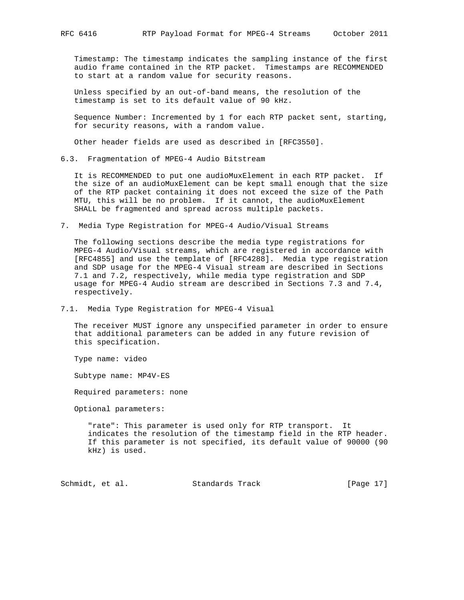Timestamp: The timestamp indicates the sampling instance of the first audio frame contained in the RTP packet. Timestamps are RECOMMENDED to start at a random value for security reasons.

 Unless specified by an out-of-band means, the resolution of the timestamp is set to its default value of 90 kHz.

 Sequence Number: Incremented by 1 for each RTP packet sent, starting, for security reasons, with a random value.

Other header fields are used as described in [RFC3550].

6.3. Fragmentation of MPEG-4 Audio Bitstream

 It is RECOMMENDED to put one audioMuxElement in each RTP packet. If the size of an audioMuxElement can be kept small enough that the size of the RTP packet containing it does not exceed the size of the Path MTU, this will be no problem. If it cannot, the audioMuxElement SHALL be fragmented and spread across multiple packets.

7. Media Type Registration for MPEG-4 Audio/Visual Streams

 The following sections describe the media type registrations for MPEG-4 Audio/Visual streams, which are registered in accordance with [RFC4855] and use the template of [RFC4288]. Media type registration and SDP usage for the MPEG-4 Visual stream are described in Sections 7.1 and 7.2, respectively, while media type registration and SDP usage for MPEG-4 Audio stream are described in Sections 7.3 and 7.4, respectively.

7.1. Media Type Registration for MPEG-4 Visual

 The receiver MUST ignore any unspecified parameter in order to ensure that additional parameters can be added in any future revision of this specification.

Type name: video

Subtype name: MP4V-ES

Required parameters: none

Optional parameters:

 "rate": This parameter is used only for RTP transport. It indicates the resolution of the timestamp field in the RTP header. If this parameter is not specified, its default value of 90000 (90 kHz) is used.

Schmidt, et al. Standards Track [Page 17]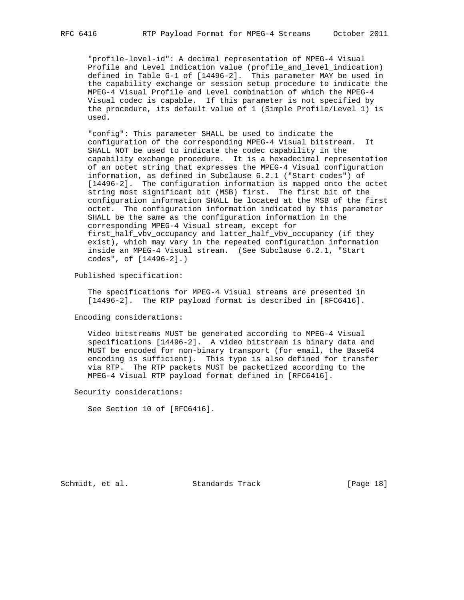"profile-level-id": A decimal representation of MPEG-4 Visual Profile and Level indication value (profile\_and\_level\_indication) defined in Table G-1 of [14496-2]. This parameter MAY be used in the capability exchange or session setup procedure to indicate the MPEG-4 Visual Profile and Level combination of which the MPEG-4 Visual codec is capable. If this parameter is not specified by the procedure, its default value of 1 (Simple Profile/Level 1) is used.

 "config": This parameter SHALL be used to indicate the configuration of the corresponding MPEG-4 Visual bitstream. It SHALL NOT be used to indicate the codec capability in the capability exchange procedure. It is a hexadecimal representation of an octet string that expresses the MPEG-4 Visual configuration information, as defined in Subclause 6.2.1 ("Start codes") of [14496-2]. The configuration information is mapped onto the octet string most significant bit (MSB) first. The first bit of the configuration information SHALL be located at the MSB of the first octet. The configuration information indicated by this parameter SHALL be the same as the configuration information in the corresponding MPEG-4 Visual stream, except for first\_half\_vbv\_occupancy and latter\_half\_vbv\_occupancy (if they exist), which may vary in the repeated configuration information inside an MPEG-4 Visual stream. (See Subclause 6.2.1, "Start codes", of [14496-2].)

Published specification:

 The specifications for MPEG-4 Visual streams are presented in [14496-2]. The RTP payload format is described in [RFC6416].

Encoding considerations:

 Video bitstreams MUST be generated according to MPEG-4 Visual specifications [14496-2]. A video bitstream is binary data and MUST be encoded for non-binary transport (for email, the Base64 encoding is sufficient). This type is also defined for transfer via RTP. The RTP packets MUST be packetized according to the MPEG-4 Visual RTP payload format defined in [RFC6416].

Security considerations:

See Section 10 of [RFC6416].

Schmidt, et al. Standards Track [Page 18]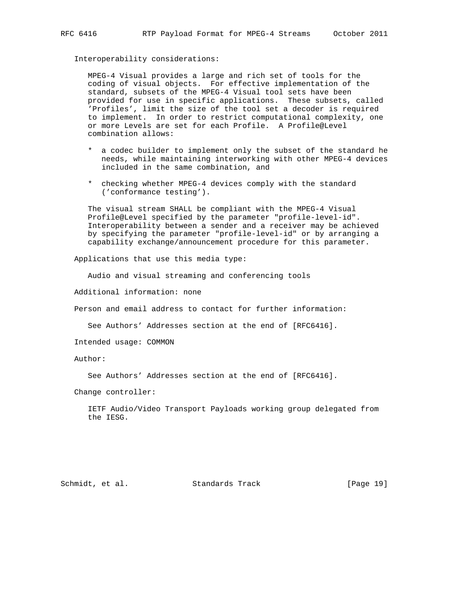#### Interoperability considerations:

 MPEG-4 Visual provides a large and rich set of tools for the coding of visual objects. For effective implementation of the standard, subsets of the MPEG-4 Visual tool sets have been provided for use in specific applications. These subsets, called 'Profiles', limit the size of the tool set a decoder is required to implement. In order to restrict computational complexity, one or more Levels are set for each Profile. A Profile@Level combination allows:

- \* a codec builder to implement only the subset of the standard he needs, while maintaining interworking with other MPEG-4 devices included in the same combination, and
- \* checking whether MPEG-4 devices comply with the standard ('conformance testing').

 The visual stream SHALL be compliant with the MPEG-4 Visual Profile@Level specified by the parameter "profile-level-id". Interoperability between a sender and a receiver may be achieved by specifying the parameter "profile-level-id" or by arranging a capability exchange/announcement procedure for this parameter.

Applications that use this media type:

Audio and visual streaming and conferencing tools

Additional information: none

Person and email address to contact for further information:

See Authors' Addresses section at the end of [RFC6416].

Intended usage: COMMON

#### Author:

See Authors' Addresses section at the end of [RFC6416].

Change controller:

 IETF Audio/Video Transport Payloads working group delegated from the IESG.

Schmidt, et al. Standards Track [Page 19]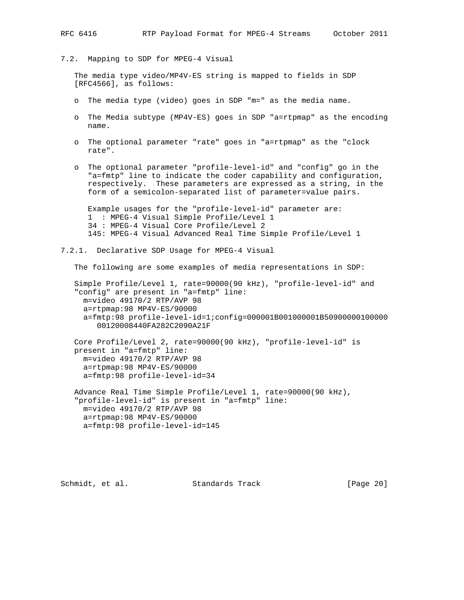7.2. Mapping to SDP for MPEG-4 Visual

 The media type video/MP4V-ES string is mapped to fields in SDP [RFC4566], as follows:

- o The media type (video) goes in SDP "m=" as the media name.
- o The Media subtype (MP4V-ES) goes in SDP "a=rtpmap" as the encoding name.
- o The optional parameter "rate" goes in "a=rtpmap" as the "clock rate".
- o The optional parameter "profile-level-id" and "config" go in the "a=fmtp" line to indicate the coder capability and configuration, respectively. These parameters are expressed as a string, in the form of a semicolon-separated list of parameter=value pairs.

 Example usages for the "profile-level-id" parameter are: 1 : MPEG-4 Visual Simple Profile/Level 1 34 : MPEG-4 Visual Core Profile/Level 2 145: MPEG-4 Visual Advanced Real Time Simple Profile/Level 1

7.2.1. Declarative SDP Usage for MPEG-4 Visual

The following are some examples of media representations in SDP:

 Simple Profile/Level 1, rate=90000(90 kHz), "profile-level-id" and "config" are present in "a=fmtp" line: m=video 49170/2 RTP/AVP 98 a=rtpmap:98 MP4V-ES/90000 a=fmtp:98 profile-level-id=1;config=000001B001000001B50900000100000 00120008440FA282C2090A21F

 Core Profile/Level 2, rate=90000(90 kHz), "profile-level-id" is present in "a=fmtp" line: m=video 49170/2 RTP/AVP 98 a=rtpmap:98 MP4V-ES/90000 a=fmtp:98 profile-level-id=34

 Advance Real Time Simple Profile/Level 1, rate=90000(90 kHz), "profile-level-id" is present in "a=fmtp" line: m=video 49170/2 RTP/AVP 98 a=rtpmap:98 MP4V-ES/90000 a=fmtp:98 profile-level-id=145

Schmidt, et al. Standards Track [Page 20]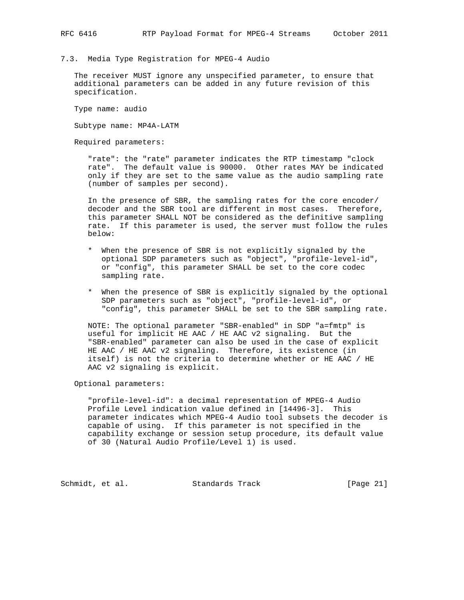7.3. Media Type Registration for MPEG-4 Audio

 The receiver MUST ignore any unspecified parameter, to ensure that additional parameters can be added in any future revision of this specification.

Type name: audio

Subtype name: MP4A-LATM

Required parameters:

 "rate": the "rate" parameter indicates the RTP timestamp "clock rate". The default value is 90000. Other rates MAY be indicated only if they are set to the same value as the audio sampling rate (number of samples per second).

 In the presence of SBR, the sampling rates for the core encoder/ decoder and the SBR tool are different in most cases. Therefore, this parameter SHALL NOT be considered as the definitive sampling rate. If this parameter is used, the server must follow the rules below:

- \* When the presence of SBR is not explicitly signaled by the optional SDP parameters such as "object", "profile-level-id", or "config", this parameter SHALL be set to the core codec sampling rate.
- \* When the presence of SBR is explicitly signaled by the optional SDP parameters such as "object", "profile-level-id", or "config", this parameter SHALL be set to the SBR sampling rate.

 NOTE: The optional parameter "SBR-enabled" in SDP "a=fmtp" is useful for implicit HE AAC / HE AAC v2 signaling. But the "SBR-enabled" parameter can also be used in the case of explicit HE AAC / HE AAC v2 signaling. Therefore, its existence (in itself) is not the criteria to determine whether or HE AAC / HE AAC v2 signaling is explicit.

Optional parameters:

 "profile-level-id": a decimal representation of MPEG-4 Audio Profile Level indication value defined in [14496-3]. This parameter indicates which MPEG-4 Audio tool subsets the decoder is capable of using. If this parameter is not specified in the capability exchange or session setup procedure, its default value of 30 (Natural Audio Profile/Level 1) is used.

Schmidt, et al. Standards Track [Page 21]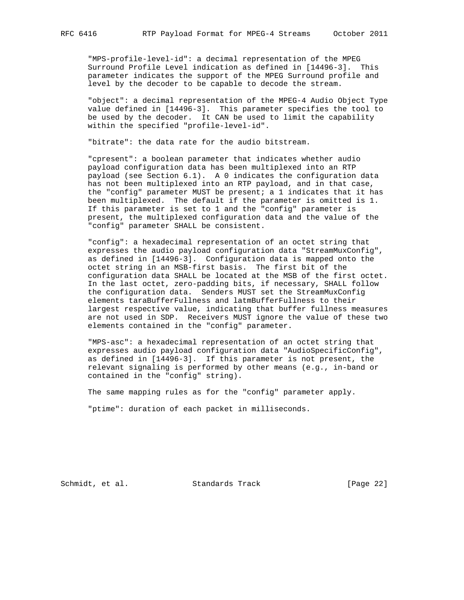"MPS-profile-level-id": a decimal representation of the MPEG Surround Profile Level indication as defined in [14496-3]. This parameter indicates the support of the MPEG Surround profile and level by the decoder to be capable to decode the stream.

 "object": a decimal representation of the MPEG-4 Audio Object Type value defined in [14496-3]. This parameter specifies the tool to be used by the decoder. It CAN be used to limit the capability within the specified "profile-level-id".

"bitrate": the data rate for the audio bitstream.

 "cpresent": a boolean parameter that indicates whether audio payload configuration data has been multiplexed into an RTP payload (see Section 6.1). A 0 indicates the configuration data has not been multiplexed into an RTP payload, and in that case, the "config" parameter MUST be present; a 1 indicates that it has been multiplexed. The default if the parameter is omitted is 1. If this parameter is set to 1 and the "config" parameter is present, the multiplexed configuration data and the value of the "config" parameter SHALL be consistent.

 "config": a hexadecimal representation of an octet string that expresses the audio payload configuration data "StreamMuxConfig", as defined in [14496-3]. Configuration data is mapped onto the octet string in an MSB-first basis. The first bit of the configuration data SHALL be located at the MSB of the first octet. In the last octet, zero-padding bits, if necessary, SHALL follow the configuration data. Senders MUST set the StreamMuxConfig elements taraBufferFullness and latmBufferFullness to their largest respective value, indicating that buffer fullness measures are not used in SDP. Receivers MUST ignore the value of these two elements contained in the "config" parameter.

 "MPS-asc": a hexadecimal representation of an octet string that expresses audio payload configuration data "AudioSpecificConfig", as defined in [14496-3]. If this parameter is not present, the relevant signaling is performed by other means (e.g., in-band or contained in the "config" string).

The same mapping rules as for the "config" parameter apply.

"ptime": duration of each packet in milliseconds.

Schmidt, et al. Standards Track [Page 22]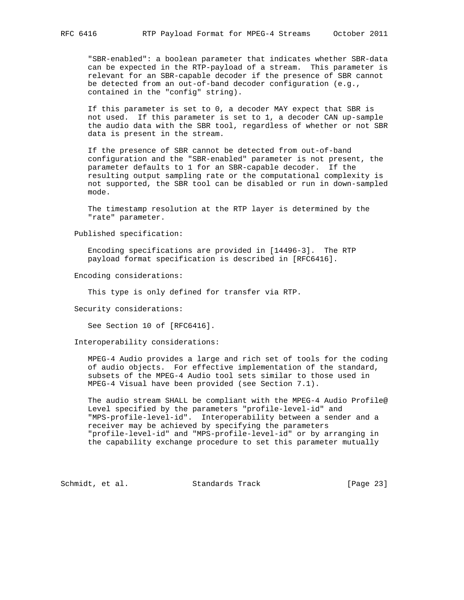"SBR-enabled": a boolean parameter that indicates whether SBR-data can be expected in the RTP-payload of a stream. This parameter is relevant for an SBR-capable decoder if the presence of SBR cannot be detected from an out-of-band decoder configuration (e.g., contained in the "config" string).

 If this parameter is set to 0, a decoder MAY expect that SBR is not used. If this parameter is set to 1, a decoder CAN up-sample the audio data with the SBR tool, regardless of whether or not SBR data is present in the stream.

 If the presence of SBR cannot be detected from out-of-band configuration and the "SBR-enabled" parameter is not present, the parameter defaults to 1 for an SBR-capable decoder. If the resulting output sampling rate or the computational complexity is not supported, the SBR tool can be disabled or run in down-sampled mode.

 The timestamp resolution at the RTP layer is determined by the "rate" parameter.

Published specification:

 Encoding specifications are provided in [14496-3]. The RTP payload format specification is described in [RFC6416].

Encoding considerations:

This type is only defined for transfer via RTP.

Security considerations:

See Section 10 of [RFC6416].

Interoperability considerations:

 MPEG-4 Audio provides a large and rich set of tools for the coding of audio objects. For effective implementation of the standard, subsets of the MPEG-4 Audio tool sets similar to those used in MPEG-4 Visual have been provided (see Section 7.1).

 The audio stream SHALL be compliant with the MPEG-4 Audio Profile@ Level specified by the parameters "profile-level-id" and "MPS-profile-level-id". Interoperability between a sender and a receiver may be achieved by specifying the parameters "profile-level-id" and "MPS-profile-level-id" or by arranging in the capability exchange procedure to set this parameter mutually

Schmidt, et al. Standards Track [Page 23]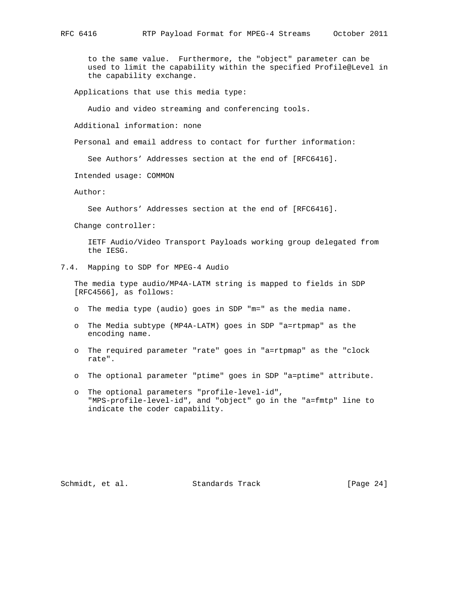to the same value. Furthermore, the "object" parameter can be used to limit the capability within the specified Profile@Level in the capability exchange.

Applications that use this media type:

Audio and video streaming and conferencing tools.

Additional information: none

Personal and email address to contact for further information:

See Authors' Addresses section at the end of [RFC6416].

Intended usage: COMMON

Author:

See Authors' Addresses section at the end of [RFC6416].

Change controller:

 IETF Audio/Video Transport Payloads working group delegated from the IESG.

7.4. Mapping to SDP for MPEG-4 Audio

 The media type audio/MP4A-LATM string is mapped to fields in SDP [RFC4566], as follows:

- o The media type (audio) goes in SDP "m=" as the media name.
- o The Media subtype (MP4A-LATM) goes in SDP "a=rtpmap" as the encoding name.
- o The required parameter "rate" goes in "a=rtpmap" as the "clock rate".
- o The optional parameter "ptime" goes in SDP "a=ptime" attribute.
- o The optional parameters "profile-level-id", "MPS-profile-level-id", and "object" go in the "a=fmtp" line to indicate the coder capability.

Schmidt, et al. Standards Track [Page 24]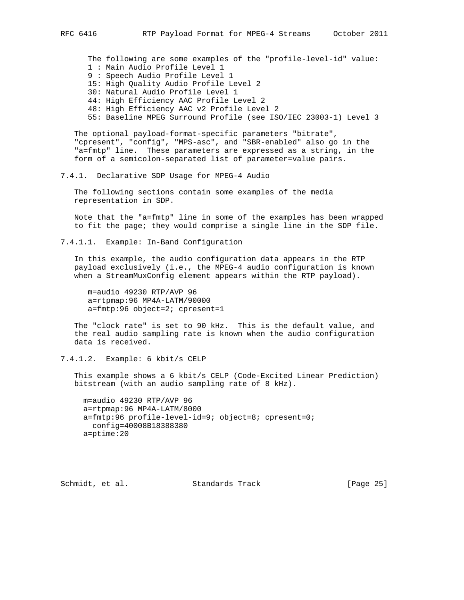The following are some examples of the "profile-level-id" value: 1 : Main Audio Profile Level 1 9 : Speech Audio Profile Level 1 15: High Quality Audio Profile Level 2 30: Natural Audio Profile Level 1 44: High Efficiency AAC Profile Level 2 48: High Efficiency AAC v2 Profile Level 2

55: Baseline MPEG Surround Profile (see ISO/IEC 23003-1) Level 3

 The optional payload-format-specific parameters "bitrate", "cpresent", "config", "MPS-asc", and "SBR-enabled" also go in the "a=fmtp" line. These parameters are expressed as a string, in the form of a semicolon-separated list of parameter=value pairs.

7.4.1. Declarative SDP Usage for MPEG-4 Audio

 The following sections contain some examples of the media representation in SDP.

 Note that the "a=fmtp" line in some of the examples has been wrapped to fit the page; they would comprise a single line in the SDP file.

7.4.1.1. Example: In-Band Configuration

 In this example, the audio configuration data appears in the RTP payload exclusively (i.e., the MPEG-4 audio configuration is known when a StreamMuxConfig element appears within the RTP payload).

 m=audio 49230 RTP/AVP 96 a=rtpmap:96 MP4A-LATM/90000 a=fmtp:96 object=2; cpresent=1

 The "clock rate" is set to 90 kHz. This is the default value, and the real audio sampling rate is known when the audio configuration data is received.

7.4.1.2. Example: 6 kbit/s CELP

 This example shows a 6 kbit/s CELP (Code-Excited Linear Prediction) bitstream (with an audio sampling rate of 8 kHz).

 m=audio 49230 RTP/AVP 96 a=rtpmap:96 MP4A-LATM/8000 a=fmtp:96 profile-level-id=9; object=8; cpresent=0; config=40008B18388380 a=ptime:20

Schmidt, et al. Standards Track [Page 25]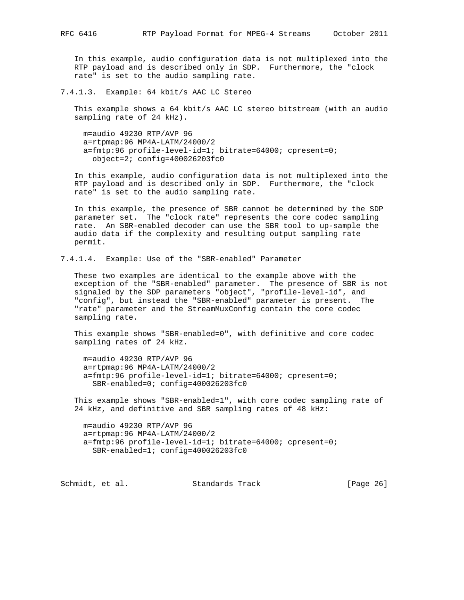In this example, audio configuration data is not multiplexed into the RTP payload and is described only in SDP. Furthermore, the "clock rate" is set to the audio sampling rate.

7.4.1.3. Example: 64 kbit/s AAC LC Stereo

 This example shows a 64 kbit/s AAC LC stereo bitstream (with an audio sampling rate of 24 kHz).

 m=audio 49230 RTP/AVP 96 a=rtpmap:96 MP4A-LATM/24000/2 a=fmtp:96 profile-level-id=1; bitrate=64000; cpresent=0; object=2; config=400026203fc0

 In this example, audio configuration data is not multiplexed into the RTP payload and is described only in SDP. Furthermore, the "clock rate" is set to the audio sampling rate.

 In this example, the presence of SBR cannot be determined by the SDP parameter set. The "clock rate" represents the core codec sampling rate. An SBR-enabled decoder can use the SBR tool to up-sample the audio data if the complexity and resulting output sampling rate permit.

7.4.1.4. Example: Use of the "SBR-enabled" Parameter

 These two examples are identical to the example above with the exception of the "SBR-enabled" parameter. The presence of SBR is not signaled by the SDP parameters "object", "profile-level-id", and "config", but instead the "SBR-enabled" parameter is present. The "rate" parameter and the StreamMuxConfig contain the core codec sampling rate.

 This example shows "SBR-enabled=0", with definitive and core codec sampling rates of 24 kHz.

 m=audio 49230 RTP/AVP 96 a=rtpmap:96 MP4A-LATM/24000/2 a=fmtp:96 profile-level-id=1; bitrate=64000; cpresent=0; SBR-enabled=0; config=400026203fc0

 This example shows "SBR-enabled=1", with core codec sampling rate of 24 kHz, and definitive and SBR sampling rates of 48 kHz:

 m=audio 49230 RTP/AVP 96 a=rtpmap:96 MP4A-LATM/24000/2 a=fmtp:96 profile-level-id=1; bitrate=64000; cpresent=0; SBR-enabled=1; config=400026203fc0

Schmidt, et al. Standards Track [Page 26]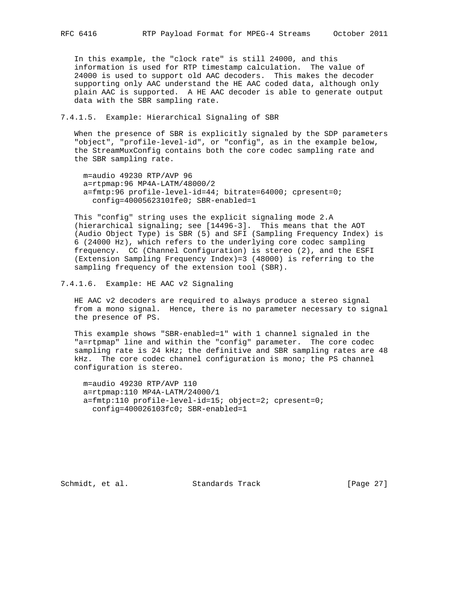In this example, the "clock rate" is still 24000, and this information is used for RTP timestamp calculation. The value of 24000 is used to support old AAC decoders. This makes the decoder supporting only AAC understand the HE AAC coded data, although only plain AAC is supported. A HE AAC decoder is able to generate output data with the SBR sampling rate.

#### 7.4.1.5. Example: Hierarchical Signaling of SBR

 When the presence of SBR is explicitly signaled by the SDP parameters "object", "profile-level-id", or "config", as in the example below, the StreamMuxConfig contains both the core codec sampling rate and the SBR sampling rate.

 m=audio 49230 RTP/AVP 96 a=rtpmap:96 MP4A-LATM/48000/2 a=fmtp:96 profile-level-id=44; bitrate=64000; cpresent=0; config=40005623101fe0; SBR-enabled=1

 This "config" string uses the explicit signaling mode 2.A (hierarchical signaling; see [14496-3]. This means that the AOT (Audio Object Type) is SBR (5) and SFI (Sampling Frequency Index) is 6 (24000 Hz), which refers to the underlying core codec sampling frequency. CC (Channel Configuration) is stereo (2), and the ESFI (Extension Sampling Frequency Index)=3 (48000) is referring to the sampling frequency of the extension tool (SBR).

7.4.1.6. Example: HE AAC v2 Signaling

 HE AAC v2 decoders are required to always produce a stereo signal from a mono signal. Hence, there is no parameter necessary to signal the presence of PS.

 This example shows "SBR-enabled=1" with 1 channel signaled in the "a=rtpmap" line and within the "config" parameter. The core codec sampling rate is 24 kHz; the definitive and SBR sampling rates are 48 kHz. The core codec channel configuration is mono; the PS channel configuration is stereo.

 m=audio 49230 RTP/AVP 110 a=rtpmap:110 MP4A-LATM/24000/1 a=fmtp:110 profile-level-id=15; object=2; cpresent=0; config=400026103fc0; SBR-enabled=1

Schmidt, et al. Standards Track [Page 27]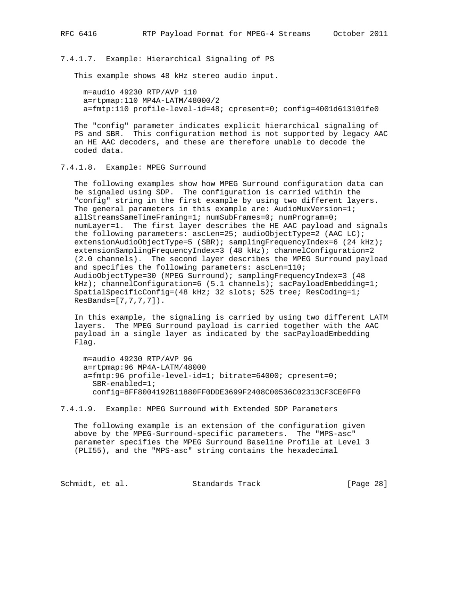7.4.1.7. Example: Hierarchical Signaling of PS

This example shows 48 kHz stereo audio input.

 m=audio 49230 RTP/AVP 110 a=rtpmap:110 MP4A-LATM/48000/2 a=fmtp:110 profile-level-id=48; cpresent=0; config=4001d613101fe0

 The "config" parameter indicates explicit hierarchical signaling of PS and SBR. This configuration method is not supported by legacy AAC an HE AAC decoders, and these are therefore unable to decode the coded data.

7.4.1.8. Example: MPEG Surround

 The following examples show how MPEG Surround configuration data can be signaled using SDP. The configuration is carried within the "config" string in the first example by using two different layers. The general parameters in this example are: AudioMuxVersion=1; allStreamsSameTimeFraming=1; numSubFrames=0; numProgram=0; numLayer=1. The first layer describes the HE AAC payload and signals the following parameters: ascLen=25; audioObjectType=2 (AAC LC); extensionAudioObjectType=5 (SBR); samplingFrequencyIndex=6 (24 kHz); extensionSamplingFrequencyIndex=3 (48 kHz); channelConfiguration=2 (2.0 channels). The second layer describes the MPEG Surround payload and specifies the following parameters: ascLen=110; AudioObjectType=30 (MPEG Surround); samplingFrequencyIndex=3 (48 kHz); channelConfiguration=6 (5.1 channels); sacPayloadEmbedding=1; SpatialSpecificConfig=(48 kHz; 32 slots; 525 tree; ResCoding=1; ResBands=[7,7,7,7]).

 In this example, the signaling is carried by using two different LATM layers. The MPEG Surround payload is carried together with the AAC payload in a single layer as indicated by the sacPayloadEmbedding Flag.

 m=audio 49230 RTP/AVP 96 a=rtpmap:96 MP4A-LATM/48000 a=fmtp:96 profile-level-id=1; bitrate=64000; cpresent=0; SBR-enabled=1; config=8FF8004192B11880FF0DDE3699F2408C00536C02313CF3CE0FF0

7.4.1.9. Example: MPEG Surround with Extended SDP Parameters

 The following example is an extension of the configuration given above by the MPEG-Surround-specific parameters. The "MPS-asc" parameter specifies the MPEG Surround Baseline Profile at Level 3 (PLI55), and the "MPS-asc" string contains the hexadecimal

Schmidt, et al. Standards Track [Page 28]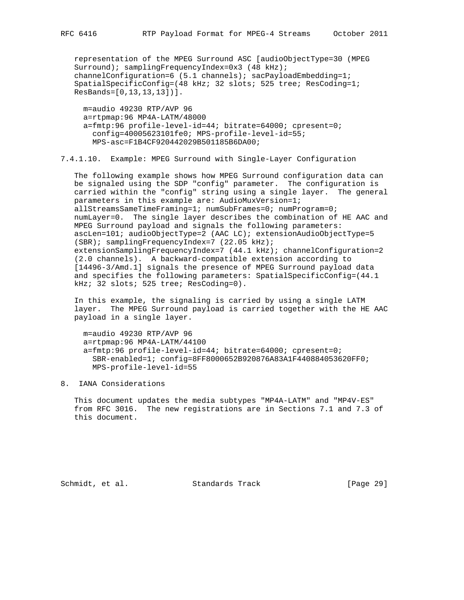representation of the MPEG Surround ASC [audioObjectType=30 (MPEG Surround); samplingFrequencyIndex=0x3 (48 kHz); channelConfiguration=6 (5.1 channels); sacPayloadEmbedding=1; SpatialSpecificConfig=(48 kHz; 32 slots; 525 tree; ResCoding=1; ResBands=[0,13,13,13])].

 m=audio 49230 RTP/AVP 96 a=rtpmap:96 MP4A-LATM/48000 a=fmtp:96 profile-level-id=44; bitrate=64000; cpresent=0; config=40005623101fe0; MPS-profile-level-id=55; MPS-asc=F1B4CF920442029B501185B6DA00;

7.4.1.10. Example: MPEG Surround with Single-Layer Configuration

 The following example shows how MPEG Surround configuration data can be signaled using the SDP "config" parameter. The configuration is carried within the "config" string using a single layer. The general parameters in this example are: AudioMuxVersion=1; allStreamsSameTimeFraming=1; numSubFrames=0; numProgram=0; numLayer=0. The single layer describes the combination of HE AAC and MPEG Surround payload and signals the following parameters: ascLen=101; audioObjectType=2 (AAC LC); extensionAudioObjectType=5 (SBR); samplingFrequencyIndex=7 (22.05 kHz); extensionSamplingFrequencyIndex=7 (44.1 kHz); channelConfiguration=2 (2.0 channels). A backward-compatible extension according to [14496-3/Amd.1] signals the presence of MPEG Surround payload data and specifies the following parameters: SpatialSpecificConfig=(44.1 kHz; 32 slots; 525 tree; ResCoding=0).

 In this example, the signaling is carried by using a single LATM layer. The MPEG Surround payload is carried together with the HE AAC payload in a single layer.

 m=audio 49230 RTP/AVP 96 a=rtpmap:96 MP4A-LATM/44100 a=fmtp:96 profile-level-id=44; bitrate=64000; cpresent=0; SBR-enabled=1; config=8FF8000652B920876A83A1F440884053620FF0; MPS-profile-level-id=55

#### 8. IANA Considerations

 This document updates the media subtypes "MP4A-LATM" and "MP4V-ES" from RFC 3016. The new registrations are in Sections 7.1 and 7.3 of this document.

Schmidt, et al. Standards Track [Page 29]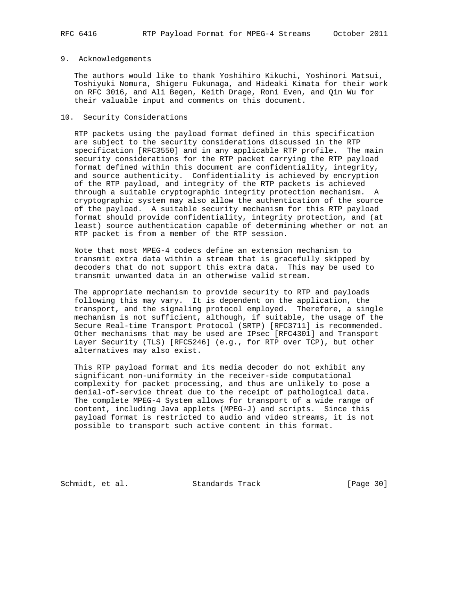#### 9. Acknowledgements

 The authors would like to thank Yoshihiro Kikuchi, Yoshinori Matsui, Toshiyuki Nomura, Shigeru Fukunaga, and Hideaki Kimata for their work on RFC 3016, and Ali Begen, Keith Drage, Roni Even, and Qin Wu for their valuable input and comments on this document.

#### 10. Security Considerations

 RTP packets using the payload format defined in this specification are subject to the security considerations discussed in the RTP specification [RFC3550] and in any applicable RTP profile. The main security considerations for the RTP packet carrying the RTP payload format defined within this document are confidentiality, integrity, and source authenticity. Confidentiality is achieved by encryption of the RTP payload, and integrity of the RTP packets is achieved through a suitable cryptographic integrity protection mechanism. A cryptographic system may also allow the authentication of the source of the payload. A suitable security mechanism for this RTP payload format should provide confidentiality, integrity protection, and (at least) source authentication capable of determining whether or not an RTP packet is from a member of the RTP session.

 Note that most MPEG-4 codecs define an extension mechanism to transmit extra data within a stream that is gracefully skipped by decoders that do not support this extra data. This may be used to transmit unwanted data in an otherwise valid stream.

 The appropriate mechanism to provide security to RTP and payloads following this may vary. It is dependent on the application, the transport, and the signaling protocol employed. Therefore, a single mechanism is not sufficient, although, if suitable, the usage of the Secure Real-time Transport Protocol (SRTP) [RFC3711] is recommended. Other mechanisms that may be used are IPsec [RFC4301] and Transport Layer Security (TLS) [RFC5246] (e.g., for RTP over TCP), but other alternatives may also exist.

 This RTP payload format and its media decoder do not exhibit any significant non-uniformity in the receiver-side computational complexity for packet processing, and thus are unlikely to pose a denial-of-service threat due to the receipt of pathological data. The complete MPEG-4 System allows for transport of a wide range of content, including Java applets (MPEG-J) and scripts. Since this payload format is restricted to audio and video streams, it is not possible to transport such active content in this format.

Schmidt, et al. Standards Track [Page 30]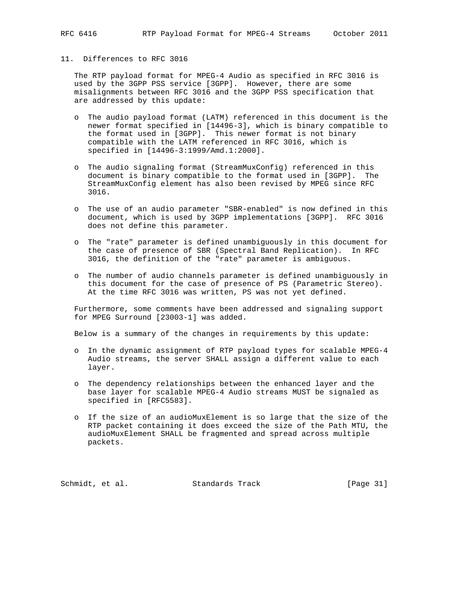### 11. Differences to RFC 3016

 The RTP payload format for MPEG-4 Audio as specified in RFC 3016 is used by the 3GPP PSS service [3GPP]. However, there are some misalignments between RFC 3016 and the 3GPP PSS specification that are addressed by this update:

- o The audio payload format (LATM) referenced in this document is the newer format specified in [14496-3], which is binary compatible to the format used in [3GPP]. This newer format is not binary compatible with the LATM referenced in RFC 3016, which is specified in [14496-3:1999/Amd.1:2000].
- o The audio signaling format (StreamMuxConfig) referenced in this document is binary compatible to the format used in [3GPP]. The StreamMuxConfig element has also been revised by MPEG since RFC 3016.
- o The use of an audio parameter "SBR-enabled" is now defined in this document, which is used by 3GPP implementations [3GPP]. RFC 3016 does not define this parameter.
- o The "rate" parameter is defined unambiguously in this document for the case of presence of SBR (Spectral Band Replication). In RFC 3016, the definition of the "rate" parameter is ambiguous.
- o The number of audio channels parameter is defined unambiguously in this document for the case of presence of PS (Parametric Stereo). At the time RFC 3016 was written, PS was not yet defined.

 Furthermore, some comments have been addressed and signaling support for MPEG Surround [23003-1] was added.

Below is a summary of the changes in requirements by this update:

- o In the dynamic assignment of RTP payload types for scalable MPEG-4 Audio streams, the server SHALL assign a different value to each layer.
- o The dependency relationships between the enhanced layer and the base layer for scalable MPEG-4 Audio streams MUST be signaled as specified in [RFC5583].
- o If the size of an audioMuxElement is so large that the size of the RTP packet containing it does exceed the size of the Path MTU, the audioMuxElement SHALL be fragmented and spread across multiple packets.

Schmidt, et al. Standards Track [Page 31]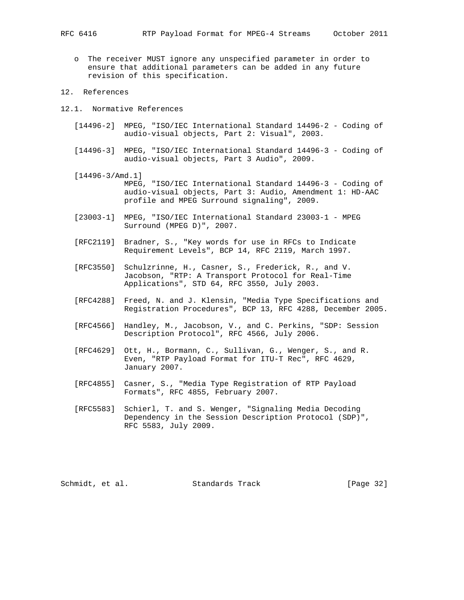o The receiver MUST ignore any unspecified parameter in order to ensure that additional parameters can be added in any future revision of this specification.

#### 12. References

- 12.1. Normative References
	- [14496-2] MPEG, "ISO/IEC International Standard 14496-2 Coding of audio-visual objects, Part 2: Visual", 2003.
	- [14496-3] MPEG, "ISO/IEC International Standard 14496-3 Coding of audio-visual objects, Part 3 Audio", 2009.
	- [14496-3/Amd.1] MPEG, "ISO/IEC International Standard 14496-3 - Coding of audio-visual objects, Part 3: Audio, Amendment 1: HD-AAC profile and MPEG Surround signaling", 2009.
	- [23003-1] MPEG, "ISO/IEC International Standard 23003-1 MPEG Surround (MPEG D)", 2007.
	- [RFC2119] Bradner, S., "Key words for use in RFCs to Indicate Requirement Levels", BCP 14, RFC 2119, March 1997.
	- [RFC3550] Schulzrinne, H., Casner, S., Frederick, R., and V. Jacobson, "RTP: A Transport Protocol for Real-Time Applications", STD 64, RFC 3550, July 2003.
	- [RFC4288] Freed, N. and J. Klensin, "Media Type Specifications and Registration Procedures", BCP 13, RFC 4288, December 2005.
	- [RFC4566] Handley, M., Jacobson, V., and C. Perkins, "SDP: Session Description Protocol", RFC 4566, July 2006.
	- [RFC4629] Ott, H., Bormann, C., Sullivan, G., Wenger, S., and R. Even, "RTP Payload Format for ITU-T Rec", RFC 4629, January 2007.
	- [RFC4855] Casner, S., "Media Type Registration of RTP Payload Formats", RFC 4855, February 2007.
	- [RFC5583] Schierl, T. and S. Wenger, "Signaling Media Decoding Dependency in the Session Description Protocol (SDP)", RFC 5583, July 2009.

Schmidt, et al. Standards Track [Page 32]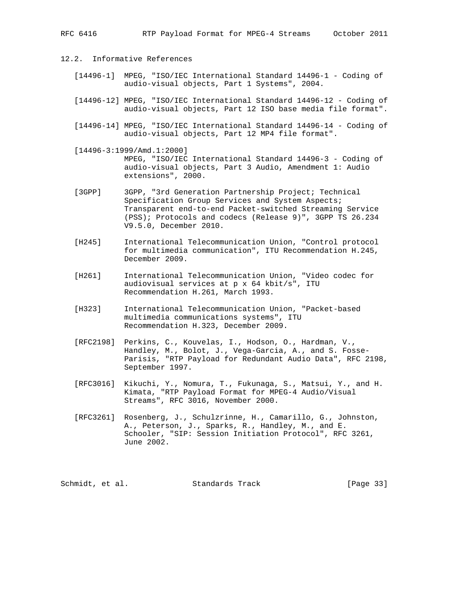- 12.2. Informative References
	- [14496-1] MPEG, "ISO/IEC International Standard 14496-1 Coding of audio-visual objects, Part 1 Systems", 2004.
	- [14496-12] MPEG, "ISO/IEC International Standard 14496-12 Coding of audio-visual objects, Part 12 ISO base media file format".
	- [14496-14] MPEG, "ISO/IEC International Standard 14496-14 Coding of audio-visual objects, Part 12 MP4 file format".
	- [14496-3:1999/Amd.1:2000] MPEG, "ISO/IEC International Standard 14496-3 - Coding of audio-visual objects, Part 3 Audio, Amendment 1: Audio extensions", 2000.
	- [3GPP] 3GPP, "3rd Generation Partnership Project; Technical Specification Group Services and System Aspects; Transparent end-to-end Packet-switched Streaming Service (PSS); Protocols and codecs (Release 9)", 3GPP TS 26.234 V9.5.0, December 2010.
	- [H245] International Telecommunication Union, "Control protocol for multimedia communication", ITU Recommendation H.245, December 2009.
	- [H261] International Telecommunication Union, "Video codec for audiovisual services at p x 64 kbit/s", ITU Recommendation H.261, March 1993.
	- [H323] International Telecommunication Union, "Packet-based multimedia communications systems", ITU Recommendation H.323, December 2009.
	- [RFC2198] Perkins, C., Kouvelas, I., Hodson, O., Hardman, V., Handley, M., Bolot, J., Vega-Garcia, A., and S. Fosse- Parisis, "RTP Payload for Redundant Audio Data", RFC 2198, September 1997.
	- [RFC3016] Kikuchi, Y., Nomura, T., Fukunaga, S., Matsui, Y., and H. Kimata, "RTP Payload Format for MPEG-4 Audio/Visual Streams", RFC 3016, November 2000.
	- [RFC3261] Rosenberg, J., Schulzrinne, H., Camarillo, G., Johnston, A., Peterson, J., Sparks, R., Handley, M., and E. Schooler, "SIP: Session Initiation Protocol", RFC 3261, June 2002.

Schmidt, et al. Standards Track [Page 33]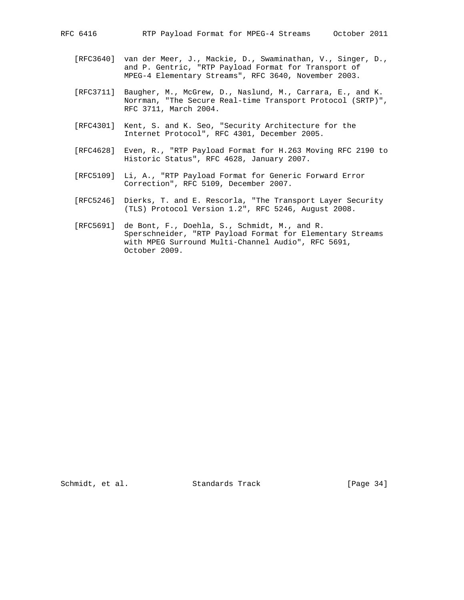- [RFC3640] van der Meer, J., Mackie, D., Swaminathan, V., Singer, D., and P. Gentric, "RTP Payload Format for Transport of MPEG-4 Elementary Streams", RFC 3640, November 2003.
- [RFC3711] Baugher, M., McGrew, D., Naslund, M., Carrara, E., and K. Norrman, "The Secure Real-time Transport Protocol (SRTP)", RFC 3711, March 2004.
- [RFC4301] Kent, S. and K. Seo, "Security Architecture for the Internet Protocol", RFC 4301, December 2005.
- [RFC4628] Even, R., "RTP Payload Format for H.263 Moving RFC 2190 to Historic Status", RFC 4628, January 2007.
- [RFC5109] Li, A., "RTP Payload Format for Generic Forward Error Correction", RFC 5109, December 2007.
- [RFC5246] Dierks, T. and E. Rescorla, "The Transport Layer Security (TLS) Protocol Version 1.2", RFC 5246, August 2008.
- [RFC5691] de Bont, F., Doehla, S., Schmidt, M., and R. Sperschneider, "RTP Payload Format for Elementary Streams with MPEG Surround Multi-Channel Audio", RFC 5691, October 2009.

Schmidt, et al. Standards Track [Page 34]